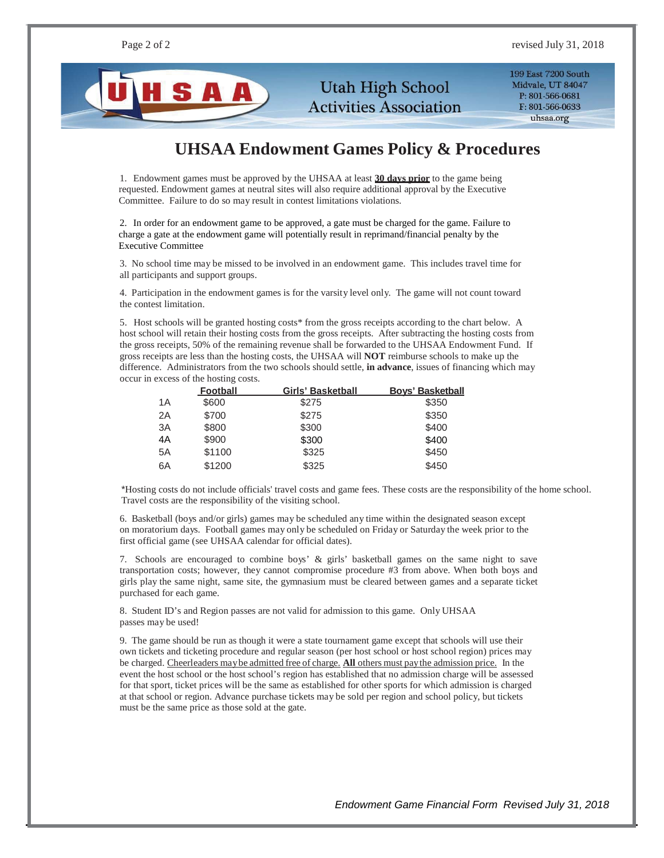

**Utah High School Activities Association**  199 East 7200 South Midvale, UT 84047 P: 801-566-0681 F: 801-566-0633 uhsaa.org

## **UHSAA Endowment Games Policy & Procedures**

1. Endowment games must be approved by the UHSAA at least **30 days prior** to the game being requested. Endowment games at neutral sites will also require additional approval by the Executive Committee. Failure to do so may result in contest limitations violations.

2. In order for an endowment game to be approved, a gate must be charged for the game. Failure to charge a gate at the endowment game will potentially result in reprimand/financial penalty by the Executive Committee

3. No school time may be missed to be involved in an endowment game. This includes travel time for all participants and support groups.

4. Participation in the endowment games is for the varsity level only. The game will not count toward the contest limitation.

5. Host schools will be granted hosting costs\* from the gross receipts according to the chart below. A host school will retain their hosting costs from the gross receipts. After subtracting the hosting costs from the gross receipts, 50% of the remaining revenue shall be forwarded to the UHSAA Endowment Fund. If gross receipts are less than the hosting costs, the UHSAA will **NOT** reimburse schools to make up the difference. Administrators from the two schools should settle, **in advance**, issues of financing which may occur in excess of the hosting costs.

|     | <b>Football</b> | Girls' Basketball | <b>Boys' Basketball</b> |
|-----|-----------------|-------------------|-------------------------|
| 1 A | \$600           | \$275             | \$350                   |
| 2A  | \$700           | \$275             | \$350                   |
| 3A  | \$800           | \$300             | \$400                   |
| 4A  | \$900           | \$300             | \$400                   |
| 5A  | \$1100          | \$325             | \$450                   |
| 6A  | \$1200          | \$325             | \$450                   |

\*Hosting costs do not include officials' travel costs and game fees. These costs are the responsibility of the home school. Travel costs are the responsibility of the visiting school.

6. Basketball (boys and/or girls) games may be scheduled any time within the designated season except on moratorium days. Football games may only be scheduled on Friday or Saturday the week prior to the first official game (see UHSAA calendar for official dates).

7. Schools are encouraged to combine boys' & girls' basketball games on the same night to save transportation costs; however, they cannot compromise procedure #3 from above. When both boys and girls play the same night, same site, the gymnasium must be cleared between games and a separate ticket purchased for each game.

8. Student ID's and Region passes are not valid for admission to this game. Only UHSAA passes may be used!

9. The game should be run as though it were a state tournament game except that schools will use their own tickets and ticketing procedure and regular season (per host school or host school region) prices may be charged. Cheerleaders maybe admitted free of charge. **All** others must paythe admission price. In the event the host school or the host school's region has established that no admission charge will be assessed for that sport, ticket prices will be the same as established for other sports for which admission is charged at that school or region. Advance purchase tickets may be sold per region and school policy, but tickets must be the same price as those sold at the gate.

*Endowment Game Financial Form Revised July 31, 2018*